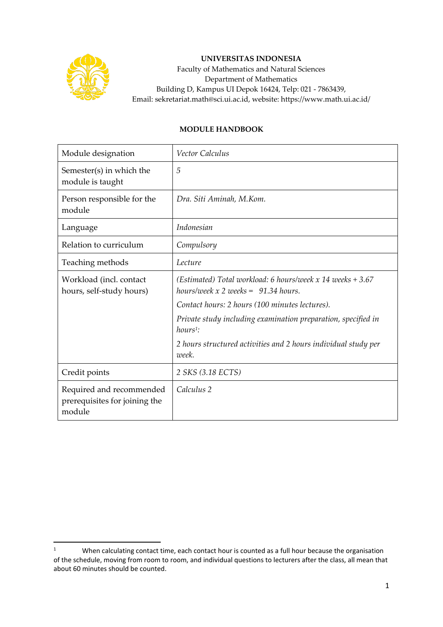

## **UNIVERSITAS INDONESIA**

Faculty of Mathematics and Natural Sciences Department of Mathematics Building D, Kampus UI Depok 16424, Telp: 021 - 7863439, Email: sekretariat.math@sci.ui.ac.id, website: https://www.math.ui.ac.id/

## **MODULE HANDBOOK**

| Module designation                                                  | Vector Calculus                                                                                      |  |
|---------------------------------------------------------------------|------------------------------------------------------------------------------------------------------|--|
| Semester(s) in which the<br>module is taught                        | 5                                                                                                    |  |
| Person responsible for the<br>module                                | Dra. Siti Aminah, M.Kom.                                                                             |  |
| Language                                                            | Indonesian                                                                                           |  |
| Relation to curriculum                                              | Compulsory                                                                                           |  |
| Teaching methods                                                    | Lecture                                                                                              |  |
| Workload (incl. contact<br>hours, self-study hours)                 | (Estimated) Total workload: 6 hours/week x 14 weeks $+3.67$<br>hours/week x 2 weeks = $91.34$ hours. |  |
|                                                                     | Contact hours: 2 hours (100 minutes lectures).                                                       |  |
|                                                                     | Private study including examination preparation, specified in<br>$hours1$ :                          |  |
|                                                                     | 2 hours structured activities and 2 hours individual study per<br>week.                              |  |
| Credit points                                                       | 2 SKS (3.18 ECTS)                                                                                    |  |
| Required and recommended<br>prerequisites for joining the<br>module | Calculus 2                                                                                           |  |

<sup>&</sup>lt;sup>1</sup> When calculating contact time, each contact hour is counted as a full hour because the organisation of the schedule, moving from room to room, and individual questions to lecturers after the class, all mean that about 60 minutes should be counted.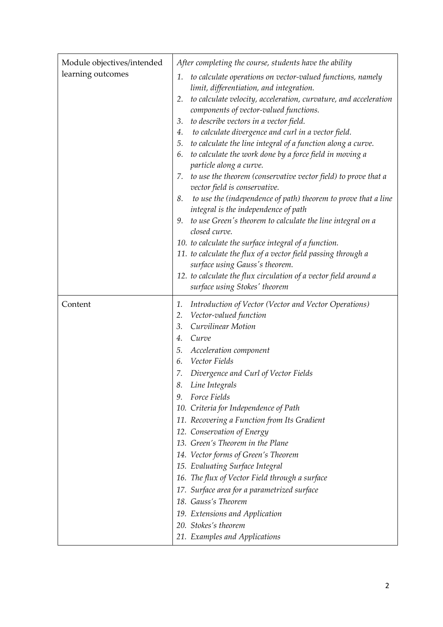| Module objectives/intended | After completing the course, students have the ability                                                                                                                                                                                                                                                                                                                                                                                                                                                                                                                                                                                                                                                                                                                                                                                                                                                                                                                                                                                                                              |  |  |
|----------------------------|-------------------------------------------------------------------------------------------------------------------------------------------------------------------------------------------------------------------------------------------------------------------------------------------------------------------------------------------------------------------------------------------------------------------------------------------------------------------------------------------------------------------------------------------------------------------------------------------------------------------------------------------------------------------------------------------------------------------------------------------------------------------------------------------------------------------------------------------------------------------------------------------------------------------------------------------------------------------------------------------------------------------------------------------------------------------------------------|--|--|
| learning outcomes          | 1. to calculate operations on vector-valued functions, namely<br>limit, differentiation, and integration.<br>to calculate velocity, acceleration, curvature, and acceleration<br>2.<br>components of vector-valued functions.<br>to describe vectors in a vector field.<br>3.<br>to calculate divergence and curl in a vector field.<br>4.<br>5. to calculate the line integral of a function along a curve.<br>to calculate the work done by a force field in moving a<br>6.<br>particle along a curve.<br>7. to use the theorem (conservative vector field) to prove that a<br>vector field is conservative.<br>to use the (independence of path) theorem to prove that a line<br>8.<br>integral is the independence of path<br>to use Green's theorem to calculate the line integral on a<br>9.<br>closed curve.<br>10. to calculate the surface integral of a function.<br>11. to calculate the flux of a vector field passing through a<br>surface using Gauss's theorem.<br>12. to calculate the flux circulation of a vector field around a<br>surface using Stokes' theorem |  |  |
| Content                    | Introduction of Vector (Vector and Vector Operations)<br>1.<br>Vector-valued function<br>2.<br>Curvilinear Motion<br>3.<br>Curve<br>4.<br>Acceleration component<br>5.<br>Vector Fields<br>6.<br>7. Divergence and Curl of Vector Fields<br>8. Line Integrals<br>Force Fields<br>9.<br>10. Criteria for Independence of Path<br>11. Recovering a Function from Its Gradient<br>12. Conservation of Energy<br>13. Green's Theorem in the Plane<br>14. Vector forms of Green's Theorem<br>15. Evaluating Surface Integral<br>16. The flux of Vector Field through a surface<br>17. Surface area for a parametrized surface<br>18. Gauss's Theorem<br>19. Extensions and Application<br>20. Stokes's theorem<br>21. Examples and Applications                                                                                                                                                                                                                                                                                                                                          |  |  |